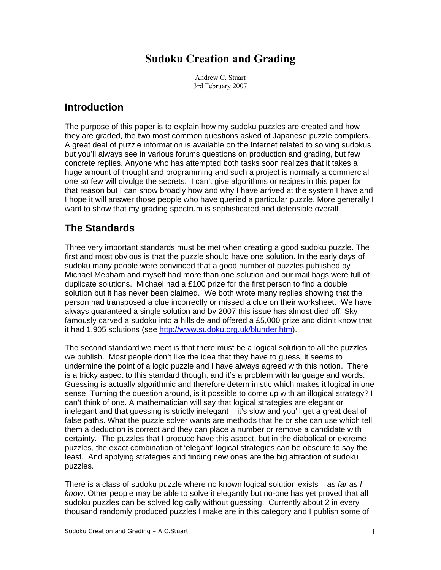# **Sudoku Creation and Grading**

Andrew C. Stuart 3rd February 2007

#### **Introduction**

The purpose of this paper is to explain how my sudoku puzzles are created and how they are graded, the two most common questions asked of Japanese puzzle compilers. A great deal of puzzle information is available on the Internet related to solving sudokus but you'll always see in various forums questions on production and grading, but few concrete replies. Anyone who has attempted both tasks soon realizes that it takes a huge amount of thought and programming and such a project is normally a commercial one so few will divulge the secrets. I can't give algorithms or recipes in this paper for that reason but I can show broadly how and why I have arrived at the system I have and I hope it will answer those people who have queried a particular puzzle. More generally I want to show that my grading spectrum is sophisticated and defensible overall.

## **The Standards**

Three very important standards must be met when creating a good sudoku puzzle. The first and most obvious is that the puzzle should have one solution. In the early days of sudoku many people were convinced that a good number of puzzles published by Michael Mepham and myself had more than one solution and our mail bags were full of duplicate solutions. Michael had a £100 prize for the first person to find a double solution but it has never been claimed. We both wrote many replies showing that the person had transposed a clue incorrectly or missed a clue on their worksheet. We have always guaranteed a single solution and by 2007 this issue has almost died off. Sky famously carved a sudoku into a hillside and offered a £5,000 prize and didn't know that it had 1,905 solutions (see http://www.sudoku.org.uk/blunder.htm).

The second standard we meet is that there must be a logical solution to all the puzzles we publish. Most people don't like the idea that they have to guess, it seems to undermine the point of a logic puzzle and I have always agreed with this notion. There is a tricky aspect to this standard though, and it's a problem with language and words. Guessing is actually algorithmic and therefore deterministic which makes it logical in one sense. Turning the question around, is it possible to come up with an illogical strategy? I can't think of one. A mathematician will say that logical strategies are elegant or inelegant and that guessing is strictly inelegant – it's slow and you'll get a great deal of false paths. What the puzzle solver wants are methods that he or she can use which tell them a deduction is correct and they can place a number or remove a candidate with certainty. The puzzles that I produce have this aspect, but in the diabolical or extreme puzzles, the exact combination of 'elegant' logical strategies can be obscure to say the least. And applying strategies and finding new ones are the big attraction of sudoku puzzles.

There is a class of sudoku puzzle where no known logical solution exists – *as far as I know*. Other people may be able to solve it elegantly but no-one has yet proved that all sudoku puzzles can be solved logically without guessing. Currently about 2 in every thousand randomly produced puzzles I make are in this category and I publish some of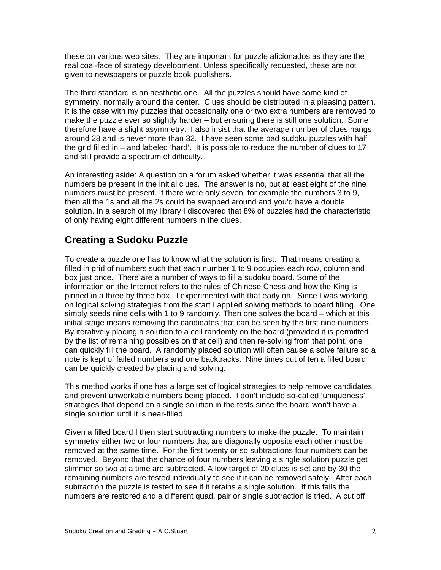these on various web sites. They are important for puzzle aficionados as they are the real coal-face of strategy development. Unless specifically requested, these are not given to newspapers or puzzle book publishers.

The third standard is an aesthetic one. All the puzzles should have some kind of symmetry, normally around the center. Clues should be distributed in a pleasing pattern. It is the case with my puzzles that occasionally one or two extra numbers are removed to make the puzzle ever so slightly harder – but ensuring there is still one solution. Some therefore have a slight asymmetry. I also insist that the average number of clues hangs around 28 and is never more than 32. I have seen some bad sudoku puzzles with half the grid filled in – and labeled 'hard'. It is possible to reduce the number of clues to 17 and still provide a spectrum of difficulty.

An interesting aside: A question on a forum asked whether it was essential that all the numbers be present in the initial clues. The answer is no, but at least eight of the nine numbers must be present. If there were only seven, for example the numbers 3 to 9, then all the 1s and all the 2s could be swapped around and you'd have a double solution. In a search of my library I discovered that 8% of puzzles had the characteristic of only having eight different numbers in the clues.

## **Creating a Sudoku Puzzle**

To create a puzzle one has to know what the solution is first. That means creating a filled in grid of numbers such that each number 1 to 9 occupies each row, column and box just once. There are a number of ways to fill a sudoku board. Some of the information on the Internet refers to the rules of Chinese Chess and how the King is pinned in a three by three box. I experimented with that early on. Since I was working on logical solving strategies from the start I applied solving methods to board filling. One simply seeds nine cells with 1 to 9 randomly. Then one solves the board – which at this initial stage means removing the candidates that can be seen by the first nine numbers. By iteratively placing a solution to a cell randomly on the board (provided it is permitted by the list of remaining possibles on that cell) and then re-solving from that point, one can quickly fill the board. A randomly placed solution will often cause a solve failure so a note is kept of failed numbers and one backtracks. Nine times out of ten a filled board can be quickly created by placing and solving.

This method works if one has a large set of logical strategies to help remove candidates and prevent unworkable numbers being placed. I don't include so-called 'uniqueness' strategies that depend on a single solution in the tests since the board won't have a single solution until it is near-filled.

Given a filled board I then start subtracting numbers to make the puzzle. To maintain symmetry either two or four numbers that are diagonally opposite each other must be removed at the same time. For the first twenty or so subtractions four numbers can be removed. Beyond that the chance of four numbers leaving a single solution puzzle get slimmer so two at a time are subtracted. A low target of 20 clues is set and by 30 the remaining numbers are tested individually to see if it can be removed safely. After each subtraction the puzzle is tested to see if it retains a single solution. If this fails the numbers are restored and a different quad, pair or single subtraction is tried. A cut off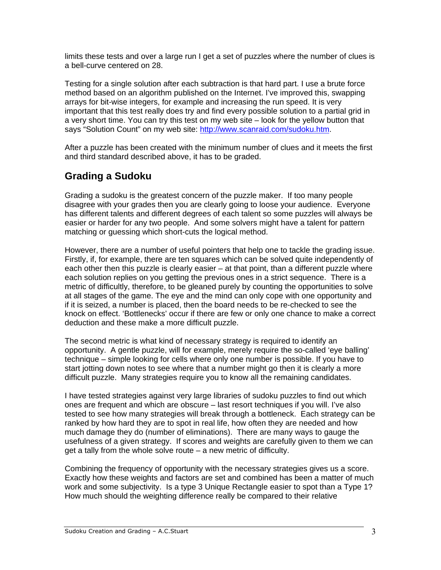limits these tests and over a large run I get a set of puzzles where the number of clues is a bell-curve centered on 28.

Testing for a single solution after each subtraction is that hard part. I use a brute force method based on an algorithm published on the Internet. I've improved this, swapping arrays for bit-wise integers, for example and increasing the run speed. It is very important that this test really does try and find every possible solution to a partial grid in a very short time. You can try this test on my web site – look for the yellow button that says "Solution Count" on my web site: http://www.scanraid.com/sudoku.htm.

After a puzzle has been created with the minimum number of clues and it meets the first and third standard described above, it has to be graded.

## **Grading a Sudoku**

Grading a sudoku is the greatest concern of the puzzle maker. If too many people disagree with your grades then you are clearly going to loose your audience. Everyone has different talents and different degrees of each talent so some puzzles will always be easier or harder for any two people. And some solvers might have a talent for pattern matching or guessing which short-cuts the logical method.

However, there are a number of useful pointers that help one to tackle the grading issue. Firstly, if, for example, there are ten squares which can be solved quite independently of each other then this puzzle is clearly easier – at that point, than a different puzzle where each solution replies on you getting the previous ones in a strict sequence. There is a metric of difficultly, therefore, to be gleaned purely by counting the opportunities to solve at all stages of the game. The eye and the mind can only cope with one opportunity and if it is seized, a number is placed, then the board needs to be re-checked to see the knock on effect. 'Bottlenecks' occur if there are few or only one chance to make a correct deduction and these make a more difficult puzzle.

The second metric is what kind of necessary strategy is required to identify an opportunity. A gentle puzzle, will for example, merely require the so-called 'eye balling' technique – simple looking for cells where only one number is possible. If you have to start jotting down notes to see where that a number might go then it is clearly a more difficult puzzle. Many strategies require you to know all the remaining candidates.

I have tested strategies against very large libraries of sudoku puzzles to find out which ones are frequent and which are obscure – last resort techniques if you will. I've also tested to see how many strategies will break through a bottleneck. Each strategy can be ranked by how hard they are to spot in real life, how often they are needed and how much damage they do (number of eliminations). There are many ways to gauge the usefulness of a given strategy. If scores and weights are carefully given to them we can get a tally from the whole solve route – a new metric of difficulty.

Combining the frequency of opportunity with the necessary strategies gives us a score. Exactly how these weights and factors are set and combined has been a matter of much work and some subjectivity. Is a type 3 Unique Rectangle easier to spot than a Type 1? How much should the weighting difference really be compared to their relative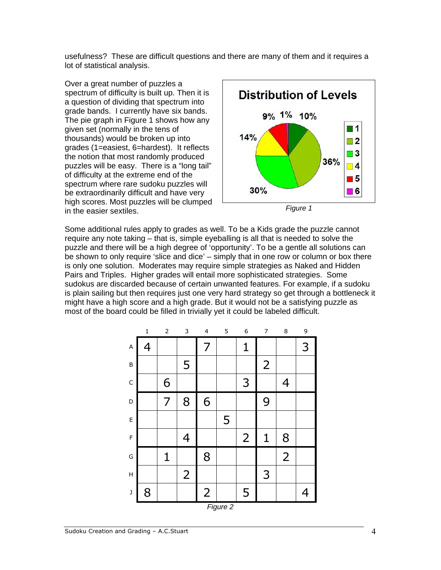usefulness? These are difficult questions and there are many of them and it requires a lot of statistical analysis.

Over a great number of puzzles a spectrum of difficulty is built up. Then it is a question of dividing that spectrum into grade bands. I currently have six bands. The pie graph in Figure 1 shows how any given set (normally in the tens of thousands) would be broken up into grades (1=easiest, 6=hardest). It reflects the notion that most randomly produced puzzles will be easy. There is a "long tail" of difficulty at the extreme end of the spectrum where rare sudoku puzzles will be extraordinarily difficult and have very high scores. Most puzzles will be clumped in the easier sextiles. *Figure 1* 





Some additional rules apply to grades as well. To be a Kids grade the puzzle cannot require any note taking – that is, simple eyeballing is all that is needed to solve the puzzle and there will be a high degree of 'opportunity'. To be a gentle all solutions can be shown to only require 'slice and dice' – simply that in one row or column or box there is only one solution. Moderates may require simple strategies as Naked and Hidden Pairs and Triples. Higher grades will entail more sophisticated strategies. Some sudokus are discarded because of certain unwanted features. For example, if a sudoku is plain sailing but then requires just one very hard strategy so get through a bottleneck it might have a high score and a high grade. But it would not be a satisfying puzzle as most of the board could be filled in trivially yet it could be labeled difficult.

|                           | $\mathbf 1$ | $\mathsf{2}\,$ | 3              | $\overline{\mathbf{4}}$ | 5 | $\boldsymbol{6}$ | $\overline{7}$ | 8              | 9 |  |  |
|---------------------------|-------------|----------------|----------------|-------------------------|---|------------------|----------------|----------------|---|--|--|
| $\boldsymbol{\mathsf{A}}$ | 4           |                |                | 7                       |   | 1                |                |                | 3 |  |  |
| $\sf B$                   |             |                | 5              |                         |   |                  | $\overline{2}$ |                |   |  |  |
| $\mathsf C$               |             | 6              |                |                         |   | 3                |                | 4              |   |  |  |
| D                         |             | 7              | 8              | 6                       |   |                  | 9              |                |   |  |  |
| $\mathsf E$               |             |                |                |                         | 5 |                  |                |                |   |  |  |
| F                         |             |                | 4              |                         |   | $\overline{2}$   | 1              | 8              |   |  |  |
| G                         |             | $\mathbf 1$    |                | 8                       |   |                  |                | $\overline{2}$ |   |  |  |
| H                         |             |                | $\overline{2}$ |                         |   |                  | 3              |                |   |  |  |
| $\big)$                   | 8           |                |                | $\overline{2}$          |   | 5                |                |                | 4 |  |  |
| Figure 2                  |             |                |                |                         |   |                  |                |                |   |  |  |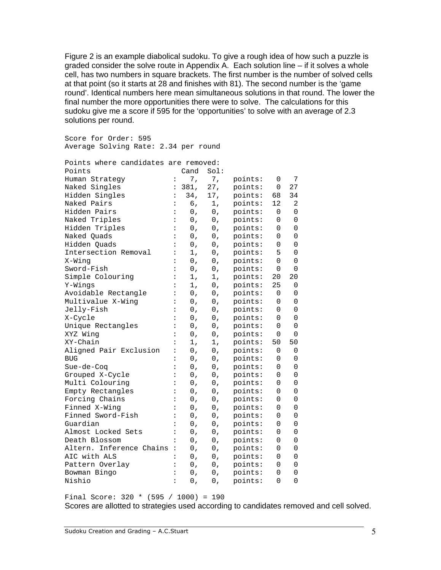Figure 2 is an example diabolical sudoku. To give a rough idea of how such a puzzle is graded consider the solve route in Appendix A. Each solution line – if it solves a whole cell, has two numbers in square brackets. The first number is the number of solved cells at that point (so it starts at 28 and finishes with 81). The second number is the 'game round'. Identical numbers here mean simultaneous solutions in that round. The lower the final number the more opportunities there were to solve. The calculations for this sudoku give me a score if 595 for the 'opportunities' to solve with an average of 2.3 solutions per round.

Score for Order: 595 Average Solving Rate: 2.34 per round

| Points where candidates are removed: |                      |       |       |         |          |             |
|--------------------------------------|----------------------|-------|-------|---------|----------|-------------|
| Points                               |                      | Cand  | Sol:  |         |          |             |
| Human Strategy                       | $\ddot{\cdot}$       | 7,    | 7,    | points: | 0        | 7           |
| Naked Singles                        | $\ddot{\cdot}$       | 381,  | 27,   | points: | 0        | 27          |
| Hidden Singles                       | $\ddot{\cdot}$       | 34,   | 17,   | points: | 68       | 34          |
| Naked Pairs                          | :                    | б,    | 1,    | points: | 12       | 2           |
| Hidden Pairs                         | :                    | 0,    | 0,    | points: | 0        | 0           |
| Naked Triples                        | :                    | $0$ , | 0,    | points: | 0        | 0           |
| Hidden Triples                       | $\ddot{\cdot}$       | $0$ , | $0$ , | points: | 0        | 0           |
| Naked Quads                          | :                    | 0,    | 0,    | points: | 0        | 0           |
| Hidden Quads                         |                      | 0,    | 0,    | points: | 0        | 0           |
| Intersection Removal                 | $\ddot{\phantom{a}}$ | 1,    | 0,    | points: | 5        | 0           |
| X-Wing                               | $\ddot{\cdot}$       | 0,    | $0$ , | points: | $\Omega$ | $\Omega$    |
| Sword-Fish                           | $\ddot{\cdot}$       | 0,    | 0,    | points: | 0        | 0           |
| Simple Colouring                     | :                    | 1,    | 1,    | points: | 20       | 20          |
| Y-Wings                              | :                    | 1,    | 0,    | points: | 25       | 0           |
| Avoidable Rectangle                  | $\ddot{\cdot}$       | 0,    | 0,    | points: | 0        | 0           |
| Multivalue X-Wing                    | $\ddot{\cdot}$       | $0$ , | $0$ , | points: | $\Omega$ | 0           |
| Jelly-Fish                           |                      | 0,    | 0,    | points: | 0        | 0           |
| X-Cycle                              | $\ddot{\cdot}$       | 0,    | 0,    | points: | 0        | 0           |
| Unique Rectangles                    | $\ddot{\cdot}$       | 0,    | 0,    | points: | 0        | $\mathbf 0$ |
| XYZ Wing                             |                      | 0,    | 0,    | points: | 0        | $\mathbf 0$ |
| XY-Chain                             | $\ddot{\cdot}$       | 1,    | 1,    | points: | 50       | 50          |
| Aligned Pair Exclusion               | :                    | 0,    | 0,    | points: | 0        | 0           |
| <b>BUG</b>                           | $\ddot{\cdot}$       | 0,    | 0,    | points: | 0        | 0           |
| Sue-de-Coq                           |                      | $0$ , | $0$ , | points: | 0        | 0           |
| Grouped X-Cycle                      | $\ddot{\cdot}$       | 0,    | 0,    | points: | 0        | 0           |
| Multi Colouring                      | :                    | 0,    | 0,    | points: | 0        | 0           |
| Empty Rectangles                     | $\ddot{\cdot}$       | 0,    | 0,    | points: | 0        | 0           |
| Forcing Chains                       | :                    | 0,    | 0,    | points: | 0        | 0           |
| Finned X-Wing                        | $\ddot{\cdot}$       | 0,    | $0$ , | points: | 0        | 0           |
| Finned Sword-Fish                    | $\ddot{\cdot}$       | 0,    | 0,    | points: | 0        | 0           |
| Guardian                             | $\ddot{\cdot}$       | 0,    | 0,    | points: | 0        | 0           |
| Almost Locked Sets                   |                      | 0,    | 0,    | points: | 0        | 0           |
| Death Blossom                        | $\ddot{\cdot}$       | 0,    | $0$ , | points: | 0        | 0           |
| Altern. Inference Chains             | :                    | 0,    | 0,    | points: | 0        | 0           |
| AIC with ALS                         | $\ddot{\cdot}$       | 0,    | 0,    | points: | 0        | 0           |
| Pattern Overlay                      | :                    | 0,    | 0,    | points: | 0        | 0           |
| Bowman Bingo                         | $\ddot{\cdot}$       | 0,    | 0,    | points: | 0        | 0           |
| Nishio                               | $\ddot{\phantom{a}}$ | 0,    | $0$ , | points: | 0        | $\Omega$    |

Final Score: 320 \* (595 / 1000) = 190 Scores are allotted to strategies used according to candidates removed and cell solved.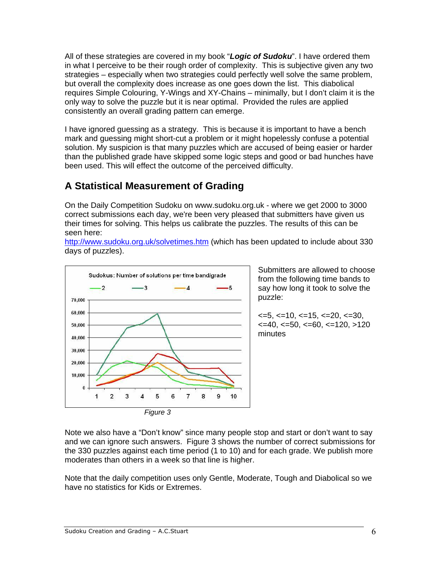All of these strategies are covered in my book "*Logic of Sudoku*". I have ordered them in what I perceive to be their rough order of complexity. This is subjective given any two strategies – especially when two strategies could perfectly well solve the same problem, but overall the complexity does increase as one goes down the list. This diabolical requires Simple Colouring, Y-Wings and XY-Chains – minimally, but I don't claim it is the only way to solve the puzzle but it is near optimal. Provided the rules are applied consistently an overall grading pattern can emerge.

I have ignored guessing as a strategy. This is because it is important to have a bench mark and guessing might short-cut a problem or it might hopelessly confuse a potential solution. My suspicion is that many puzzles which are accused of being easier or harder than the published grade have skipped some logic steps and good or bad hunches have been used. This will effect the outcome of the perceived difficulty.

## **A Statistical Measurement of Grading**

On the Daily Competition Sudoku on www.sudoku.org.uk - where we get 2000 to 3000 correct submissions each day, we're been very pleased that submitters have given us their times for solving. This helps us calibrate the puzzles. The results of this can be seen here:

http://www.sudoku.org.uk/solvetimes.htm (which has been updated to include about 330 days of puzzles).



Submitters are allowed to choose from the following time bands to say how long it took to solve the puzzle:

 $\epsilon$ =5,  $\epsilon$ =10,  $\epsilon$ =15,  $\epsilon$ =20,  $\epsilon$ =30,  $\epsilon$ =40,  $\epsilon$ =50,  $\epsilon$ =60,  $\epsilon$ =120,  $>120$ minutes

Note we also have a "Don't know" since many people stop and start or don't want to say and we can ignore such answers. Figure 3 shows the number of correct submissions for the 330 puzzles against each time period (1 to 10) and for each grade. We publish more moderates than others in a week so that line is higher.

Note that the daily competition uses only Gentle, Moderate, Tough and Diabolical so we have no statistics for Kids or Extremes.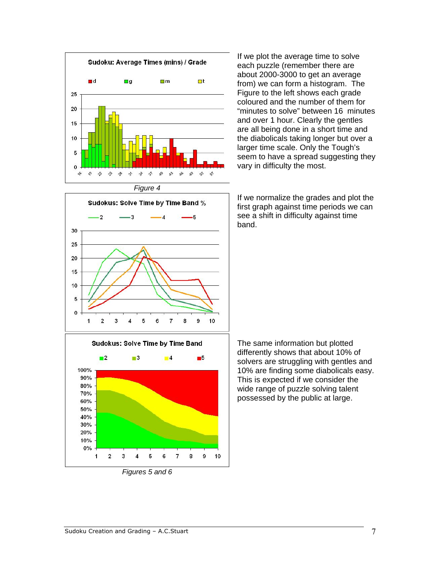

Sudokus: Solve Time by Time Band %  $\overline{2}$ ٠R -5 30  $25$ 20 15  $10$ 5  $\theta$  $\mathbf{1}$  $\overline{2}$ 3 6 7 8 9 10 Δ 5

If we plot the average time to solve each puzzle (remember there are about 2000-3000 to get an average from) we can form a histogram. The Figure to the left shows each grade coloured and the number of them for "minutes to solve" between 16 minutes and over 1 hour. Clearly the gentles are all being done in a short time and the diabolicals taking longer but over a larger time scale. Only the Tough's seem to have a spread suggesting they vary in difficulty the most.

If we normalize the grades and plot the first graph against time periods we can see a shift in difficulty against time band.



The same information but plotted differently shows that about 10% of solvers are struggling with gentles and 10% are finding some diabolicals easy. This is expected if we consider the wide range of puzzle solving talent possessed by the public at large.

*Figures 5 and 6*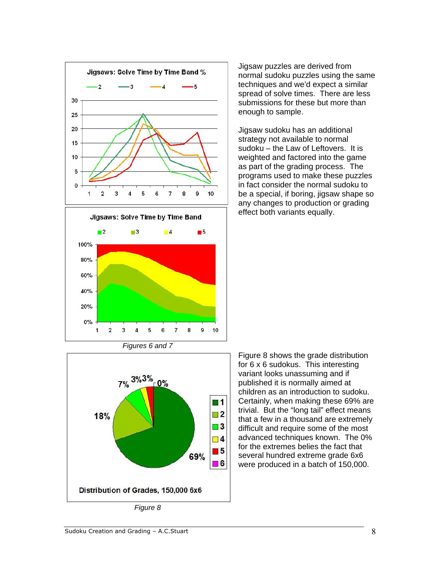

Jigsaw puzzles are derived from normal sudoku puzzles using the same techniques and we'd expect a similar spread of solve times. There are less submissions for these but more than enough to sample.

Jigsaw sudoku has an additional strategy not available to normal sudoku – the Law of Leftovers. It is weighted and factored into the game as part of the grading process. The programs used to make these puzzles in fact consider the normal sudoku to be a special, if boring, jigsaw shape so any changes to production or grading effect both variants equally.



Figure 8 shows the grade distribution for 6 x 6 sudokus. This interesting variant looks unassuming and if published it is normally aimed at children as an introduction to sudoku. Certainly, when making these 69% are trivial. But the "long tail" effect means that a few in a thousand are extremely difficult and require some of the most advanced techniques known. The 0% for the extremes belies the fact that several hundred extreme grade 6x6 were produced in a batch of 150,000.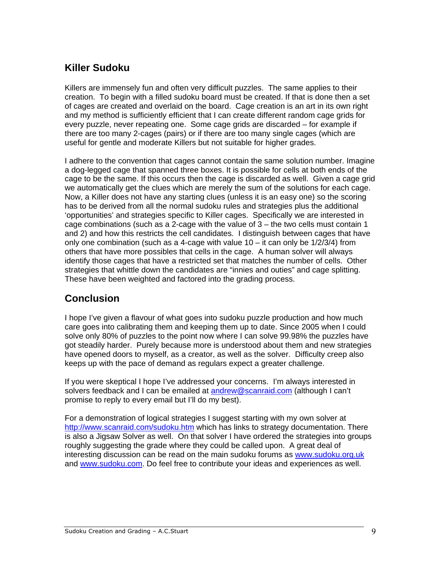## **Killer Sudoku**

Killers are immensely fun and often very difficult puzzles. The same applies to their creation. To begin with a filled sudoku board must be created. If that is done then a set of cages are created and overlaid on the board. Cage creation is an art in its own right and my method is sufficiently efficient that I can create different random cage grids for every puzzle, never repeating one. Some cage grids are discarded – for example if there are too many 2-cages (pairs) or if there are too many single cages (which are useful for gentle and moderate Killers but not suitable for higher grades.

I adhere to the convention that cages cannot contain the same solution number. Imagine a dog-legged cage that spanned three boxes. It is possible for cells at both ends of the cage to be the same. If this occurs then the cage is discarded as well. Given a cage grid we automatically get the clues which are merely the sum of the solutions for each cage. Now, a Killer does not have any starting clues (unless it is an easy one) so the scoring has to be derived from all the normal sudoku rules and strategies plus the additional 'opportunities' and strategies specific to Killer cages. Specifically we are interested in cage combinations (such as a 2-cage with the value of 3 – the two cells must contain 1 and 2) and how this restricts the cell candidates. I distinguish between cages that have only one combination (such as a 4-cage with value  $10 -$  it can only be  $1/2/3/4$ ) from others that have more possibles that cells in the cage. A human solver will always identify those cages that have a restricted set that matches the number of cells. Other strategies that whittle down the candidates are "innies and outies" and cage splitting. These have been weighted and factored into the grading process.

#### **Conclusion**

I hope I've given a flavour of what goes into sudoku puzzle production and how much care goes into calibrating them and keeping them up to date. Since 2005 when I could solve only 80% of puzzles to the point now where I can solve 99.98% the puzzles have got steadily harder. Purely because more is understood about them and new strategies have opened doors to myself, as a creator, as well as the solver. Difficulty creep also keeps up with the pace of demand as regulars expect a greater challenge.

If you were skeptical I hope I've addressed your concerns. I'm always interested in solvers feedback and I can be emailed at andrew@scanraid.com (although I can't promise to reply to every email but I'll do my best).

For a demonstration of logical strategies I suggest starting with my own solver at http://www.scanraid.com/sudoku.htm which has links to strategy documentation. There is also a Jigsaw Solver as well. On that solver I have ordered the strategies into groups roughly suggesting the grade where they could be called upon. A great deal of interesting discussion can be read on the main sudoku forums as www.sudoku.org.uk and www.sudoku.com. Do feel free to contribute your ideas and experiences as well.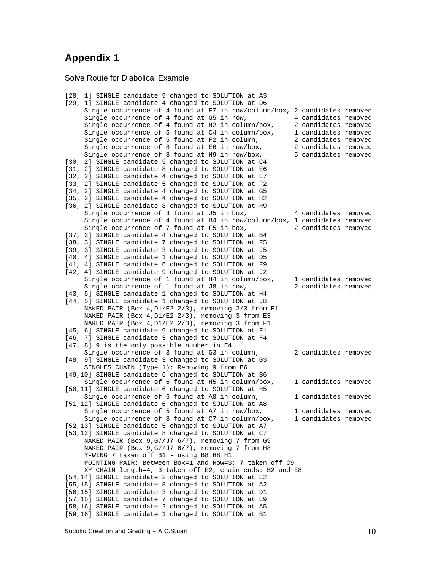#### **Appendix 1**

Solve Route for Diabolical Example

```
[28, 1] SINGLE candidate 9 changed to SOLUTION at A3
[29, 1] SINGLE candidate 4 changed to SOLUTION at D6 
      Single occurrence of 4 found at E7 in row/column/box, 2 candidates removed 
     Single occurrence of 4 found at G5 in row, 4 candidates removed
     Single occurrence of 4 found at H2 in column/box, 2 candidates removed
    Single occurrence of 5 found at C4 in column/box, 1 candidates removed
    Single occurrence of 5 found at F2 in column, 2 candidates removed
    Single occurrence of 8 found at E6 in row/box, 2 candidates removed<br>Single occurrence of 8 found at H9 in row/box, 5 candidates removed
    Single occurrence of 8 found at H9 in row/box,
[30, 2] SINGLE candidate 5 changed to SOLUTION at C4 
[31, 2] SINGLE candidate 8 changed to SOLUTION at E6
[32, 2] SINGLE candidate 4 changed to SOLUTION at E7 
[33, 2] SINGLE candidate 5 changed to SOLUTION at F2 
[34, 2] SINGLE candidate 4 changed to SOLUTION at G5 
[35, 2] SINGLE candidate 4 changed to SOLUTION at H2 
[36, 2] SINGLE candidate 8 changed to SOLUTION at H9 
     Single occurrence of 3 found at J5 in box, 4 candidates removed
      Single occurrence of 4 found at B4 in row/column/box, 1 candidates removed 
     Single occurrence of 7 found at F5 in box, 2 candidates removed
[37, 3] SINGLE candidate 4 changed to SOLUTION at B4
[38, 3] SINGLE candidate 7 changed to SOLUTION at F5
[39, 3] SINGLE candidate 3 changed to SOLUTION at J5 
[40, 4] SINGLE candidate 1 changed to SOLUTION at D5
[41, 4] SINGLE candidate 6 changed to SOLUTION at F9
[42, 4] SINGLE candidate 9 changed to SOLUTION at J2
     Single occurrence of 1 found at H4 in column/box, 1 candidates removed
     Single occurrence of 1 found at J8 in row, 2 candidates removed
[43, 5] SINGLE candidate 1 changed to SOLUTION at H4 
[44, 5] SINGLE candidate 1 changed to SOLUTION at J8 
      NAKED PAIR (Box 4,D1/E2 2/3), removing 2/3 from E1 
    NAKED PAIR (Box 4, D1/E2 2/3), removing 3 from E3
      NAKED PAIR (Box 4,D1/E2 2/3), removing 3 from F1 
[45, 6] SINGLE candidate 9 changed to SOLUTION at F1
[46, 7] SINGLE candidate 3 changed to SOLUTION at F4
[47, 8] 9 is the only possible number in E4 
     Single occurrence of 3 found at G3 in column, 2 candidates removed
[48, 9] SINGLE candidate 3 changed to SOLUTION at G3 
      SINGLES CHAIN (Type 1): Removing 9 from B6 
[49,10] SINGLE candidate 6 changed to SOLUTION at B6 
     Single occurrence of 6 found at H5 in column/box, 1 candidates removed
[50,11] SINGLE candidate 6 changed to SOLUTION at H5 
     Single occurrence of 6 found at A8 in column, 1 candidates removed
[51,12] SINGLE candidate 6 changed to SOLUTION at A8 
    Single occurrence of 5 found at A7 in row/box, 1 candidates removed<br>Single occurrence of 8 found at C7 in column/box, 1 candidates removed
     Single occurrence of 8 found at C7 in column/box,
[52,13] SINGLE candidate 5 changed to SOLUTION at A7 
[53,13] SINGLE candidate 8 changed to SOLUTION at C7 
     NAKED PAIR (Box 9,G7/J7 6/7), removing 7 from G9 
     NAKED PAIR (Box 9,G7/J7 6/7), removing 7 from H8 
     Y-WING 7 taken off B1 - using B8 H8 H1 
     POINTING PAIR: Between Box=1 and Row=3: 7 taken off C9 
     XY CHAIN length=4, 3 taken off E2, chain ends: B2 and E8 
[54,14] SINGLE candidate 2 changed to SOLUTION at E2 
[55,15] SINGLE candidate 8 changed to SOLUTION at A2 
[56,15] SINGLE candidate 3 changed to SOLUTION at D1 
[57,15] SINGLE candidate 7 changed to SOLUTION at E9 
[58,16] SINGLE candidate 2 changed to SOLUTION at A5 
[59,16] SINGLE candidate 1 changed to SOLUTION at B1
```